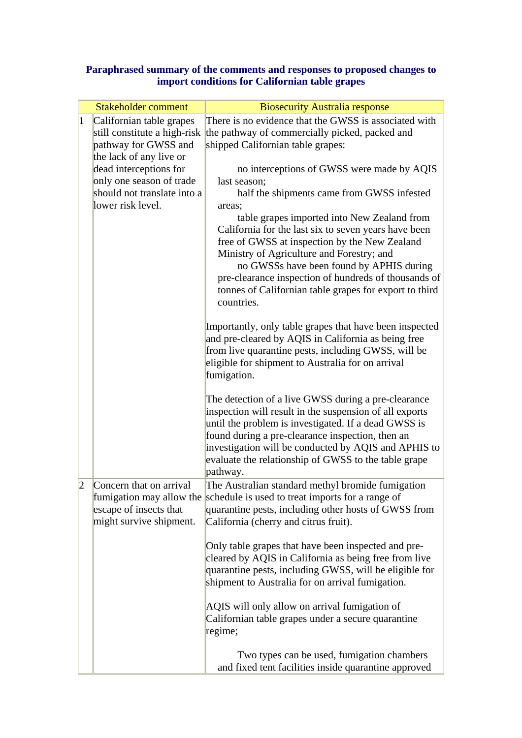## **Paraphrased summary of the comments and responses to proposed changes to import conditions for Californian table grapes**

|   | <b>Stakeholder comment</b>                                                   | <b>Biosecurity Australia response</b>                                                                                                                                                                                                                                                                                                                                     |
|---|------------------------------------------------------------------------------|---------------------------------------------------------------------------------------------------------------------------------------------------------------------------------------------------------------------------------------------------------------------------------------------------------------------------------------------------------------------------|
| 1 | Californian table grapes                                                     | There is no evidence that the GWSS is associated with                                                                                                                                                                                                                                                                                                                     |
|   | still constitute a high-risk                                                 | the pathway of commercially picked, packed and                                                                                                                                                                                                                                                                                                                            |
|   | pathway for GWSS and                                                         | shipped Californian table grapes:                                                                                                                                                                                                                                                                                                                                         |
|   | the lack of any live or                                                      |                                                                                                                                                                                                                                                                                                                                                                           |
|   | dead interceptions for                                                       | no interceptions of GWSS were made by AQIS                                                                                                                                                                                                                                                                                                                                |
|   | only one season of trade                                                     | last season;                                                                                                                                                                                                                                                                                                                                                              |
|   | should not translate into a<br>lower risk level.                             | half the shipments came from GWSS infested                                                                                                                                                                                                                                                                                                                                |
|   |                                                                              | areas;<br>table grapes imported into New Zealand from<br>California for the last six to seven years have been<br>free of GWSS at inspection by the New Zealand<br>Ministry of Agriculture and Forestry; and<br>no GWSSs have been found by APHIS during<br>pre-clearance inspection of hundreds of thousands of<br>tonnes of Californian table grapes for export to third |
|   |                                                                              | countries.<br>Importantly, only table grapes that have been inspected<br>and pre-cleared by AQIS in California as being free<br>from live quarantine pests, including GWSS, will be<br>eligible for shipment to Australia for on arrival<br>fumigation.                                                                                                                   |
|   |                                                                              | The detection of a live GWSS during a pre-clearance<br>inspection will result in the suspension of all exports<br>until the problem is investigated. If a dead GWSS is<br>found during a pre-clearance inspection, then an<br>investigation will be conducted by AQIS and APHIS to<br>evaluate the relationship of GWSS to the table grape<br>pathway.                    |
| 2 | Concern that on arrival<br>escape of insects that<br>might survive shipment. | The Australian standard methyl bromide fumigation<br>fumigation may allow the schedule is used to treat imports for a range of<br>quarantine pests, including other hosts of GWSS from<br>California (cherry and citrus fruit).                                                                                                                                           |
|   |                                                                              | Only table grapes that have been inspected and pre-<br>cleared by AQIS in California as being free from live<br>quarantine pests, including GWSS, will be eligible for<br>shipment to Australia for on arrival fumigation.                                                                                                                                                |
|   |                                                                              | AQIS will only allow on arrival fumigation of<br>Californian table grapes under a secure quarantine<br>regime;                                                                                                                                                                                                                                                            |
|   |                                                                              | Two types can be used, fumigation chambers<br>and fixed tent facilities inside quarantine approved                                                                                                                                                                                                                                                                        |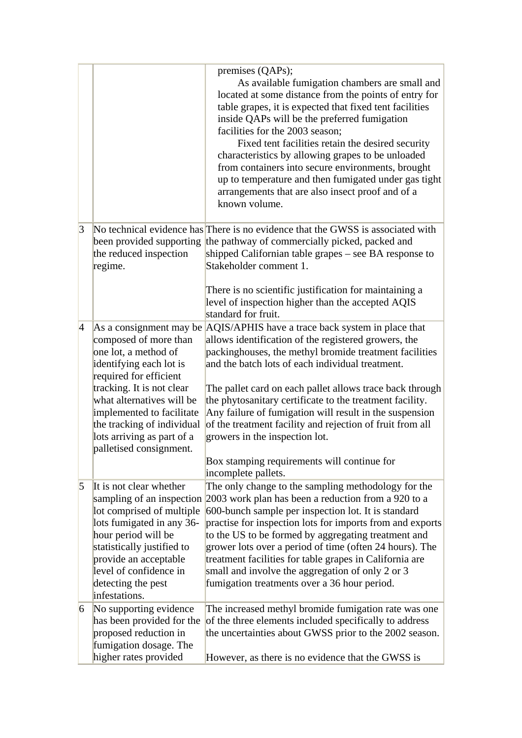|                 |                                                                                                                                                                                                                                                                                                             | premises (QAPs);<br>As available fumigation chambers are small and<br>located at some distance from the points of entry for<br>table grapes, it is expected that fixed tent facilities<br>inside QAPs will be the preferred fumigation<br>facilities for the 2003 season;<br>Fixed tent facilities retain the desired security<br>characteristics by allowing grapes to be unloaded<br>from containers into secure environments, brought<br>up to temperature and then fumigated under gas tight<br>arrangements that are also insect proof and of a<br>known volume.           |
|-----------------|-------------------------------------------------------------------------------------------------------------------------------------------------------------------------------------------------------------------------------------------------------------------------------------------------------------|---------------------------------------------------------------------------------------------------------------------------------------------------------------------------------------------------------------------------------------------------------------------------------------------------------------------------------------------------------------------------------------------------------------------------------------------------------------------------------------------------------------------------------------------------------------------------------|
| $\vert 3 \vert$ | been provided supporting<br>the reduced inspection<br>regime.                                                                                                                                                                                                                                               | No technical evidence has There is no evidence that the GWSS is associated with<br>the pathway of commercially picked, packed and<br>shipped Californian table grapes – see BA response to<br>Stakeholder comment 1.<br>There is no scientific justification for maintaining a<br>level of inspection higher than the accepted AQIS<br>standard for fruit.                                                                                                                                                                                                                      |
| $\vert 4 \vert$ | As a consignment may be<br>composed of more than<br>one lot, a method of<br>identifying each lot is<br>required for efficient<br>tracking. It is not clear<br>what alternatives will be<br>implemented to facilitate<br>the tracking of individual<br>lots arriving as part of a<br>palletised consignment. | AQIS/APHIS have a trace back system in place that<br>allows identification of the registered growers, the<br>packinghouses, the methyl bromide treatment facilities<br>and the batch lots of each individual treatment.<br>The pallet card on each pallet allows trace back through<br>the phytosanitary certificate to the treatment facility.<br>Any failure of fumigation will result in the suspension<br>of the treatment facility and rejection of fruit from all<br>growers in the inspection lot.<br>Box stamping requirements will continue for<br>incomplete pallets. |
| $\overline{5}$  | It is not clear whether<br>lot comprised of multiple<br>lots fumigated in any 36-<br>hour period will be<br>statistically justified to<br>provide an acceptable<br>level of confidence in<br>detecting the pest<br>infestations.                                                                            | The only change to the sampling methodology for the<br>sampling of an inspection 2003 work plan has been a reduction from a 920 to a<br>600-bunch sample per inspection lot. It is standard<br>practise for inspection lots for imports from and exports<br>to the US to be formed by aggregating treatment and<br>grower lots over a period of time (often 24 hours). The<br>treatment facilities for table grapes in California are<br>small and involve the aggregation of only 2 or 3<br>fumigation treatments over a 36 hour period.                                       |
| $\vert 6 \vert$ | No supporting evidence<br>has been provided for the<br>proposed reduction in<br>fumigation dosage. The<br>higher rates provided                                                                                                                                                                             | The increased methyl bromide fumigation rate was one<br>of the three elements included specifically to address<br>the uncertainties about GWSS prior to the 2002 season.<br>However, as there is no evidence that the GWSS is                                                                                                                                                                                                                                                                                                                                                   |